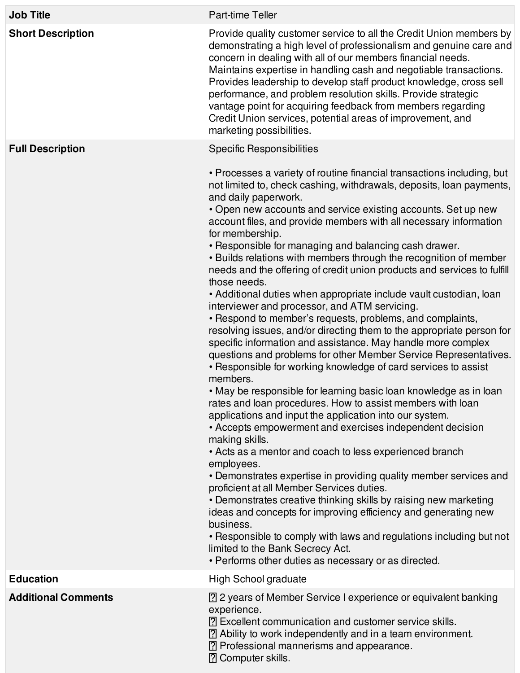| <b>Job Title</b>           | Part-time Teller                                                                                                                                                                                                                                                                                                                                                                                                                                                                                                                                                                                                                                                                                                                                                                                                                                                                                                                                                                                                                                                                                                                                                                                                                                                                                                                                                                                                                                                                                                                                                                                                                                                                                                                                                                                                                     |
|----------------------------|--------------------------------------------------------------------------------------------------------------------------------------------------------------------------------------------------------------------------------------------------------------------------------------------------------------------------------------------------------------------------------------------------------------------------------------------------------------------------------------------------------------------------------------------------------------------------------------------------------------------------------------------------------------------------------------------------------------------------------------------------------------------------------------------------------------------------------------------------------------------------------------------------------------------------------------------------------------------------------------------------------------------------------------------------------------------------------------------------------------------------------------------------------------------------------------------------------------------------------------------------------------------------------------------------------------------------------------------------------------------------------------------------------------------------------------------------------------------------------------------------------------------------------------------------------------------------------------------------------------------------------------------------------------------------------------------------------------------------------------------------------------------------------------------------------------------------------------|
| <b>Short Description</b>   | Provide quality customer service to all the Credit Union members by<br>demonstrating a high level of professionalism and genuine care and<br>concern in dealing with all of our members financial needs.<br>Maintains expertise in handling cash and negotiable transactions.<br>Provides leadership to develop staff product knowledge, cross sell<br>performance, and problem resolution skills. Provide strategic<br>vantage point for acquiring feedback from members regarding<br>Credit Union services, potential areas of improvement, and<br>marketing possibilities.                                                                                                                                                                                                                                                                                                                                                                                                                                                                                                                                                                                                                                                                                                                                                                                                                                                                                                                                                                                                                                                                                                                                                                                                                                                        |
| <b>Full Description</b>    | <b>Specific Responsibilities</b>                                                                                                                                                                                                                                                                                                                                                                                                                                                                                                                                                                                                                                                                                                                                                                                                                                                                                                                                                                                                                                                                                                                                                                                                                                                                                                                                                                                                                                                                                                                                                                                                                                                                                                                                                                                                     |
|                            | • Processes a variety of routine financial transactions including, but<br>not limited to, check cashing, withdrawals, deposits, loan payments,<br>and daily paperwork.<br>. Open new accounts and service existing accounts. Set up new<br>account files, and provide members with all necessary information<br>for membership.<br>• Responsible for managing and balancing cash drawer.<br>. Builds relations with members through the recognition of member<br>needs and the offering of credit union products and services to fulfill<br>those needs.<br>• Additional duties when appropriate include vault custodian, loan<br>interviewer and processor, and ATM servicing.<br>• Respond to member's requests, problems, and complaints,<br>resolving issues, and/or directing them to the appropriate person for<br>specific information and assistance. May handle more complex<br>questions and problems for other Member Service Representatives.<br>• Responsible for working knowledge of card services to assist<br>members.<br>• May be responsible for learning basic loan knowledge as in loan<br>rates and loan procedures. How to assist members with loan<br>applications and input the application into our system.<br>• Accepts empowerment and exercises independent decision<br>making skills.<br>• Acts as a mentor and coach to less experienced branch<br>employees.<br>• Demonstrates expertise in providing quality member services and<br>proficient at all Member Services duties.<br>• Demonstrates creative thinking skills by raising new marketing<br>ideas and concepts for improving efficiency and generating new<br>business.<br>• Responsible to comply with laws and regulations including but not<br>limited to the Bank Secrecy Act.<br>• Performs other duties as necessary or as directed. |
| <b>Education</b>           | <b>High School graduate</b>                                                                                                                                                                                                                                                                                                                                                                                                                                                                                                                                                                                                                                                                                                                                                                                                                                                                                                                                                                                                                                                                                                                                                                                                                                                                                                                                                                                                                                                                                                                                                                                                                                                                                                                                                                                                          |
| <b>Additional Comments</b> | [7] 2 years of Member Service I experience or equivalent banking<br>experience.<br><b>[?]</b> Excellent communication and customer service skills.<br>[?] Ability to work independently and in a team environment.<br>? Professional mannerisms and appearance.<br>? Computer skills.                                                                                                                                                                                                                                                                                                                                                                                                                                                                                                                                                                                                                                                                                                                                                                                                                                                                                                                                                                                                                                                                                                                                                                                                                                                                                                                                                                                                                                                                                                                                                |